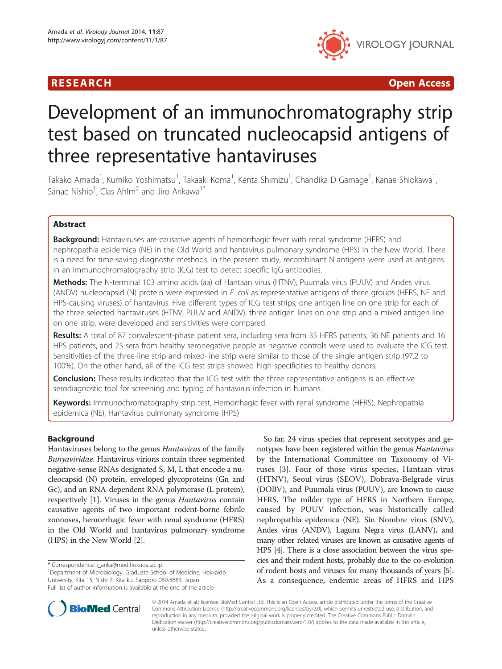

**RESEARCH CHILD CONTROL** CONTROL CONTROL CONTROL CONTROL CONTROL CONTROL CONTROL CONTROL CONTROL CONTROL CONTROL CONTROL CONTROL CONTROL CONTROL CONTROL CONTROL CONTROL CONTROL CONTROL CONTROL CONTROL CONTROL CONTROL CONTR

# Development of an immunochromatography strip test based on truncated nucleocapsid antigens of three representative hantaviruses

Takako Amada<sup>1</sup>, Kumiko Yoshimatsu<sup>1</sup>, Takaaki Koma<sup>1</sup>, Kenta Shimizu<sup>1</sup>, Chandika D Gamage<sup>1</sup>, Kanae Shiokawa<sup>1</sup> , Sanae Nishio<sup>1</sup>, Clas Ahlm<sup>2</sup> and Jiro Arikawa<sup>1\*</sup>

# Abstract

Background: Hantaviruses are causative agents of hemorrhagic fever with renal syndrome (HFRS) and nephropathia epidemica (NE) in the Old World and hantavirus pulmonary syndrome (HPS) in the New World. There is a need for time-saving diagnostic methods. In the present study, recombinant N antigens were used as antigens in an immunochromatography strip (ICG) test to detect specific IgG antibodies.

Methods: The N-terminal 103 amino acids (aa) of Hantaan virus (HTNV), Puumala virus (PUUV) and Andes virus (ANDV) nucleocapsid (N) protein were expressed in E. coli as representative antigens of three groups (HFRS, NE and HPS-causing viruses) of hantavirus. Five different types of ICG test strips, one antigen line on one strip for each of the three selected hantaviruses (HTNV, PUUV and ANDV), three antigen lines on one strip and a mixed antigen line on one strip, were developed and sensitivities were compared.

Results: A total of 87 convalescent-phase patient sera, including sera from 35 HFRS patients, 36 NE patients and 16 HPS patients, and 25 sera from healthy seronegative people as negative controls were used to evaluate the ICG test. Sensitivities of the three-line strip and mixed-line strip were similar to those of the single antigen strip (97.2 to 100%). On the other hand, all of the ICG test strips showed high specificities to healthy donors.

**Conclusion:** These results indicated that the ICG test with the three representative antigens is an effective serodiagnostic tool for screening and typing of hantavirus infection in humans.

Keywords: Immunochromatography strip test, Hemorrhagic fever with renal syndrome (HFRS), Nephropathia epidemica (NE), Hantavirus pulmonary syndrome (HPS)

# Background

Hantaviruses belong to the genus Hantavirus of the family Bunyaviridae. Hantavirus virions contain three segmented negative-sense RNAs designated S, M, L that encode a nucleocapsid (N) protein, enveloped glycoproteins (Gn and Gc), and an RNA-dependent RNA polymerase (L protein), respectively [\[1\]](#page-6-0). Viruses in the genus Hantavirus contain causative agents of two important rodent-borne febrile zoonoses, hemorrhagic fever with renal syndrome (HFRS) in the Old World and hantavirus pulmonary syndrome (HPS) in the New World [[2\]](#page-6-0).

\* Correspondence: [j\\_arika@med.hokudai.ac.jp](mailto:j_arika@med.hokudai.ac.jp) <sup>1</sup>

Department of Microbiology, Graduate School of Medicine, Hokkaido University, Kita 15, Nishi 7, Kita ku, Sapporo 060-8683, Japan Full list of author information is available at the end of the article

So far, 24 virus species that represent serotypes and genotypes have been registered within the genus Hantavirus by the International Committee on Taxonomy of Viruses [[3\]](#page-6-0). Four of those virus species, Hantaan virus (HTNV), Seoul virus (SEOV), Dobrava-Belgrade virus (DOBV), and Puumala virus (PUUV), are known to cause HFRS. The milder type of HFRS in Northern Europe, caused by PUUV infection, was historically called nephropathia epidemica (NE). Sin Nombre virus (SNV), Andes virus (ANDV), Laguna Negra virus (LANV), and many other related viruses are known as causative agents of HPS [\[4\]](#page-6-0). There is a close association between the virus species and their rodent hosts, probably due to the co-evolution of rodent hosts and viruses for many thousands of years [\[5\]](#page-6-0). As a consequence, endemic areas of HFRS and HPS



© 2014 Amada et al.; licensee BioMed Central Ltd. This is an Open Access article distributed under the terms of the Creative Commons Attribution License [\(http://creativecommons.org/licenses/by/2.0\)](http://creativecommons.org/licenses/by/2.0), which permits unrestricted use, distribution, and reproduction in any medium, provided the original work is properly credited. The Creative Commons Public Domain Dedication waiver [\(http://creativecommons.org/publicdomain/zero/1.0/](http://creativecommons.org/publicdomain/zero/1.0/)) applies to the data made available in this article, unless otherwise stated.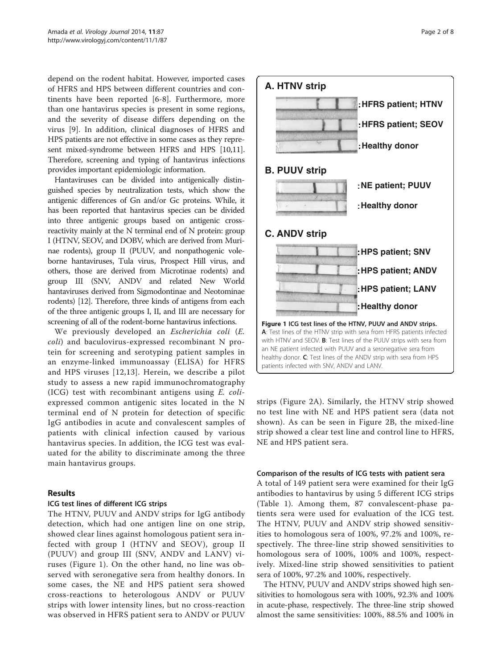depend on the rodent habitat. However, imported cases of HFRS and HPS between different countries and continents have been reported [[6-8\]](#page-6-0). Furthermore, more than one hantavirus species is present in some regions, and the severity of disease differs depending on the virus [[9](#page-6-0)]. In addition, clinical diagnoses of HFRS and HPS patients are not effective in some cases as they represent mixed-syndrome between HFRS and HPS [\[10,11](#page-6-0)]. Therefore, screening and typing of hantavirus infections provides important epidemiologic information.

Hantaviruses can be divided into antigenically distinguished species by neutralization tests, which show the antigenic differences of Gn and/or Gc proteins. While, it has been reported that hantavirus species can be divided into three antigenic groups based on antigenic crossreactivity mainly at the N terminal end of N protein: group I (HTNV, SEOV, and DOBV, which are derived from Murinae rodents), group II (PUUV, and nonpathogenic voleborne hantaviruses, Tula virus, Prospect Hill virus, and others, those are derived from Microtinae rodents) and group III (SNV, ANDV and related New World hantaviruses derived from Sigmodontinae and Neotominae rodents) [\[12\]](#page-6-0). Therefore, three kinds of antigens from each of the three antigenic groups I, II, and III are necessary for screening of all of the rodent-borne hantavirus infections.

We previously developed an Escherichia coli (E. coli) and baculovirus-expressed recombinant N protein for screening and serotyping patient samples in an enzyme-linked immunoassay (ELISA) for HFRS and HPS viruses [[12](#page-6-0),[13](#page-6-0)]. Herein, we describe a pilot study to assess a new rapid immunochromatography (ICG) test with recombinant antigens using E. coliexpressed common antigenic sites located in the N terminal end of N protein for detection of specific IgG antibodies in acute and convalescent samples of patients with clinical infection caused by various hantavirus species. In addition, the ICG test was evaluated for the ability to discriminate among the three main hantavirus groups.

# Results

# ICG test lines of different ICG strips

The HTNV, PUUV and ANDV strips for IgG antibody detection, which had one antigen line on one strip, showed clear lines against homologous patient sera infected with group I (HTNV and SEOV), group II (PUUV) and group III (SNV, ANDV and LANV) viruses (Figure 1). On the other hand, no line was observed with seronegative sera from healthy donors. In some cases, the NE and HPS patient sera showed cross-reactions to heterologous ANDV or PUUV strips with lower intensity lines, but no cross-reaction was observed in HFRS patient sera to ANDV or PUUV



strips (Figure [2A](#page-2-0)). Similarly, the HTNV strip showed no test line with NE and HPS patient sera (data not shown). As can be seen in Figure [2B](#page-2-0), the mixed-line strip showed a clear test line and control line to HFRS, NE and HPS patient sera.

# Comparison of the results of ICG tests with patient sera

A total of 149 patient sera were examined for their IgG antibodies to hantavirus by using 5 different ICG strips (Table [1](#page-3-0)). Among them, 87 convalescent-phase patients sera were used for evaluation of the ICG test. The HTNV, PUUV and ANDV strip showed sensitivities to homologous sera of 100%, 97.2% and 100%, respectively. The three-line strip showed sensitivities to homologous sera of 100%, 100% and 100%, respectively. Mixed-line strip showed sensitivities to patient sera of 100%, 97.2% and 100%, respectively.

The HTNV, PUUV and ANDV strips showed high sensitivities to homologous sera with 100%, 92.3% and 100% in acute-phase, respectively. The three-line strip showed almost the same sensitivities: 100%, 88.5% and 100% in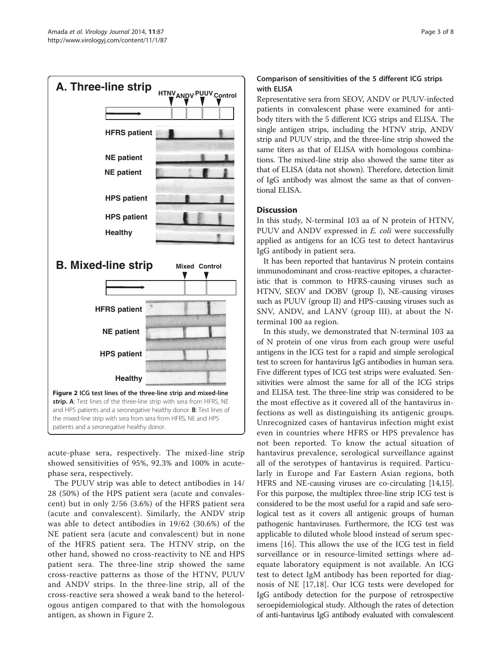<span id="page-2-0"></span>

acute-phase sera, respectively. The mixed-line strip showed sensitivities of 95%, 92.3% and 100% in acutephase sera, respectively.

The PUUV strip was able to detect antibodies in 14/ 28 (50%) of the HPS patient sera (acute and convalescent) but in only 2/56 (3.6%) of the HFRS patient sera (acute and convalescent). Similarly, the ANDV strip was able to detect antibodies in 19/62 (30.6%) of the NE patient sera (acute and convalescent) but in none of the HFRS patient sera. The HTNV strip, on the other hand, showed no cross-reactivity to NE and HPS patient sera. The three-line strip showed the same cross-reactive patterns as those of the HTNV, PUUV and ANDV strips. In the three-line strip, all of the cross-reactive sera showed a weak band to the heterologous antigen compared to that with the homologous antigen, as shown in Figure 2.

# Comparison of sensitivities of the 5 different ICG strips with **FIISA**

Representative sera from SEOV, ANDV or PUUV-infected patients in convalescent phase were examined for antibody titers with the 5 different ICG strips and ELISA. The single antigen strips, including the HTNV strip, ANDV strip and PUUV strip, and the three-line strip showed the same titers as that of ELISA with homologous combinations. The mixed-line strip also showed the same titer as that of ELISA (data not shown). Therefore, detection limit of IgG antibody was almost the same as that of conventional ELISA.

# **Discussion**

In this study, N-terminal 103 aa of N protein of HTNV, PUUV and ANDV expressed in E. coli were successfully applied as antigens for an ICG test to detect hantavirus IgG antibody in patient sera.

It has been reported that hantavirus N protein contains immunodominant and cross-reactive epitopes, a characteristic that is common to HFRS-causing viruses such as HTNV, SEOV and DOBV (group I), NE-causing viruses such as PUUV (group II) and HPS-causing viruses such as SNV, ANDV, and LANV (group III), at about the Nterminal 100 aa region.

In this study, we demonstrated that N-terminal 103 aa of N protein of one virus from each group were useful antigens in the ICG test for a rapid and simple serological test to screen for hantavirus IgG antibodies in human sera. Five different types of ICG test strips were evaluated. Sensitivities were almost the same for all of the ICG strips and ELISA test. The three-line strip was considered to be the most effective as it covered all of the hantavirus infections as well as distinguishing its antigenic groups. Unrecognized cases of hantavirus infection might exist even in countries where HFRS or HPS prevalence has not been reported. To know the actual situation of hantavirus prevalence, serological surveillance against all of the serotypes of hantavirus is required. Particularly in Europe and Far Eastern Asian regions, both HFRS and NE-causing viruses are co-circulating [\[14,15](#page-6-0)]. For this purpose, the multiplex three-line strip ICG test is considered to be the most useful for a rapid and safe serological test as it covers all antigenic groups of human pathogenic hantaviruses. Furthermore, the ICG test was applicable to diluted whole blood instead of serum specimens [\[16](#page-6-0)]. This allows the use of the ICG test in field surveillance or in resource-limited settings where adequate laboratory equipment is not available. An ICG test to detect IgM antibody has been reported for diagnosis of NE [[17,18\]](#page-6-0). Our ICG tests were developed for IgG antibody detection for the purpose of retrospective seroepidemiological study. Although the rates of detection of anti-hantavirus IgG antibody evaluated with convalescent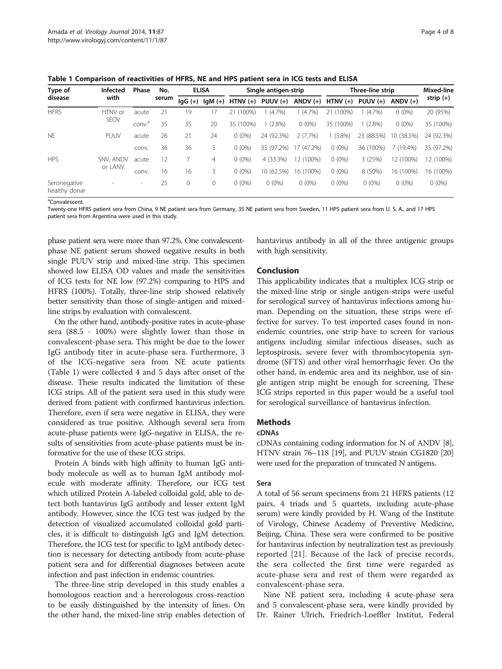<span id="page-3-0"></span>Table 1 Comparison of reactivities of HFRS, NE and HPS patient sera in ICG tests and ELISA

| Type of<br>disease            | <b>Infected</b><br>with | Phase             | No.<br>serum | <b>ELISA</b> |           | Single antigen-strip |            |            | Three-line strip |            |            | <b>Mixed-line</b> |
|-------------------------------|-------------------------|-------------------|--------------|--------------|-----------|----------------------|------------|------------|------------------|------------|------------|-------------------|
|                               |                         |                   |              | $IqG (+)$    | $IqM (+)$ | $HTNV (+)$           | PUUV $(+)$ | ANDV $(+)$ | $HTNV (+)$       | $PUUV (+)$ | $ANDV (+)$ | strip $(+)$       |
| <b>HFRS</b>                   | HTNV or<br><b>SEOV</b>  | acute             | 21           | 19           |           | 21 (100%)            | (4.7%)     | $(4.7\%)$  | $(100\%)$<br>21  | $(4.7\%)$  | $0(0\%)$   | 20 (95%)          |
|                               |                         | conv <sup>a</sup> | 35           | 35           | 20        | 35 (100%)            | $(2.8\%)$  | $0(0\%)$   | 35 (100%)        | $(2.8\%)$  | $0(0\%)$   | 35 (100%)         |
| <b>NF</b>                     | PUUV                    | acute             | 26           | 21           | 24        | $0(0\%)$             | 24 (92.3%) | 2(7.7%)    | $(3.8\%)$        | 23 (88.5%) | 10 (38.5%) | 24 (92.3%)        |
|                               |                         | conv.             | 36           | 36           |           | $0(0\%)$             | 35 (97.2%) | 17 (47.2%) | $0(0\%)$         | 36 (100%)  | $(19.4\%)$ | 35 (97.2%)        |
| <b>HPS</b>                    | SNV. ANDV<br>or LANV    | acute             | 12           |              | 4         | $0(0\%)$             | 4 (33.3%)  | 12 (100%)  | $0(0\%)$         | 3(25%)     | 12 (100%)  | 12 (100%)         |
|                               |                         | conv.             | 16           | 16           | 3         | $0(0\%)$             | 10 (62.5%) | 16 (100%)  | $0(0\%)$         | 8 (50%)    | 16 (100%)  | 16 (100%)         |
| Seronegative<br>healthy donar | $\sim$                  | ٠                 | 25           | 0            | 0         | $0(0\%)$             | $0(0\%)$   | $0(0\%)$   | $0(0\%)$         | $0(0\%)$   | $0(0\%)$   | $0(0\%)$          |

<sup>a</sup>Convalescent.

Twenty-one HFRS patient sera from China, 9 NE patient sera from Germany, 35 NE patient sera from Sweden, 11 HPS patient sera from U. S. A., and 17 HPS patient sera from Argentina were used in this study.

phase patient sera were more than 97.2%. One convalescentphase NE patient serum showed negative results in both single PUUV strip and mixed-line strip. This specimen showed low ELISA OD values and made the sensitivities of ICG tests for NE low (97.2%) comparing to HPS and HFRS (100%). Totally, three-line strip showed relatively better sensitivity than those of single-antigen and mixedline strips by evaluation with convalescent.

On the other hand, antibody-positive rates in acute-phase sera (88.5 - 100%) were slightly lower than those in convalescent-phase sera. This might be due to the lower IgG antibody titer in acute-phase sera. Furthermore, 3 of the ICG-negative sera from NE acute patients (Table 1) were collected 4 and 5 days after onset of the disease. These results indicated the limitation of these ICG strips. All of the patient sera used in this study were derived from patient with confirmed hantavirus infection. Therefore, even if sera were negative in ELISA, they were considered as true positive. Although several sera from acute-phase patients were IgG-negative in ELISA, the results of sensitivities from acute-phase patients must be informative for the use of these ICG strips.

Protein A binds with high affinity to human IgG antibody molecule as well as to human IgM antibody molecule with moderate affinity. Therefore, our ICG test which utilized Protein A-labeled colloidal gold, able to detect both hantavirus IgG antibody and lesser extent IgM antibody. However, since the ICG test was judged by the detection of visualized accumulated colloidal gold particles, it is difficult to distinguish IgG and IgM detection. Therefore, the ICG test for specific to IgM antibody detection is necessary for detecting antibody from acute-phase patient sera and for differential diagnoses between acute infection and past infection in endemic countries.

The three-line strip developed in this study enables a homologous reaction and a hererologous cross-reaction to be easily distinguished by the intensity of lines. On the other hand, the mixed-line strip enables detection of

hantavirus antibody in all of the three antigenic groups with high sensitivity.

#### Conclusion

This applicability indicates that a multiplex ICG strip or the mixed-line strip or single antigen-strips were useful for serological survey of hantavirus infections among human. Depending on the situation, these strips were effective for survey. To test imported cases found in nonendemic countries, one strip have to screen for various antigens including similar infectious diseases, such as leptospirosis, severe fever with thrombocytopenia syndrome (SFTS) and other viral hemorrhagic fever. On the other hand, in endemic area and its neighbor, use of single antigen strip might be enough for screening. These ICG strips reported in this paper would be a useful tool for serological surveillance of hantavirus infection.

#### Methods

# cDNAs

cDNAs containing coding information for N of ANDV [[8](#page-6-0)], HTNV strain 76–118 [[19](#page-6-0)], and PUUV strain CG1820 [\[20](#page-6-0)] were used for the preparation of truncated N antigens.

#### Sera

A total of 56 serum specimens from 21 HFRS patients (12 pairs, 4 triads and 5 quartets, including acute-phase serum) were kindly provided by H. Wang of the Institute of Virology, Chinese Academy of Preventive Medicine, Beijing, China. These sera were confirmed to be positive for hantavirus infection by neutralization test as previously reported [[21\]](#page-6-0). Because of the lack of precise records, the sera collected the first time were regarded as acute-phase sera and rest of them were regarded as convalescent-phase sera.

Nine NE patient sera, including 4 acute-phase sera and 5 convalescent-phase sera, were kindly provided by Dr. Rainer Ulrich, Friedrich-Loeffler Institut, Federal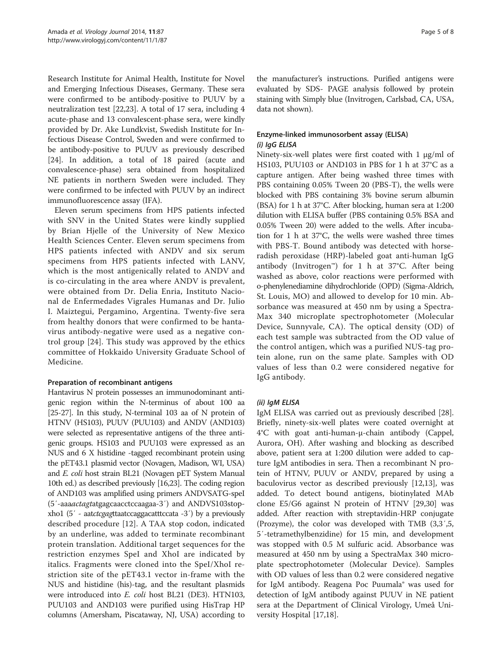Research Institute for Animal Health, Institute for Novel and Emerging Infectious Diseases, Germany. These sera were confirmed to be antibody-positive to PUUV by a neutralization test [\[22,23\]](#page-6-0). A total of 17 sera, including 4 acute-phase and 13 convalescent-phase sera, were kindly provided by Dr. Ake Lundkvist, Swedish Institute for Infectious Disease Control, Sweden and were confirmed to be antibody-positive to PUUV as previously described [[24\]](#page-6-0). In addition, a total of 18 paired (acute and convalescence-phase) sera obtained from hospitalized NE patients in northern Sweden were included. They were confirmed to be infected with PUUV by an indirect immunofluorescence assay (IFA).

Eleven serum specimens from HPS patients infected with SNV in the United States were kindly supplied by Brian Hjelle of the University of New Mexico Health Sciences Center. Eleven serum specimens from HPS patients infected with ANDV and six serum specimens from HPS patients infected with LANV, which is the most antigenically related to ANDV and is co-circulating in the area where ANDV is prevalent, were obtained from Dr. Delia Enria, Instituto Nacional de Enfermedades Vigrales Humanas and Dr. Julio I. Maiztegui, Pergamino, Argentina. Twenty-five sera from healthy donors that were confirmed to be hantavirus antibody-negative were used as a negative control group [[24](#page-6-0)]. This study was approved by the ethics committee of Hokkaido University Graduate School of Medicine.

# Preparation of recombinant antigens

Hantavirus N protein possesses an immunodominant antigenic region within the N-terminus of about 100 aa [[25](#page-7-0)-[27\]](#page-7-0). In this study, N-terminal 103 aa of N protein of HTNV (HS103), PUUV (PUU103) and ANDV (AND103) were selected as representative antigens of the three antigenic groups. HS103 and PUU103 were expressed as an NUS and 6 X histidine -tagged recombinant protein using the pET43.1 plasmid vector (Novagen, Madison, WI, USA) and E. coli host strain BL21 (Novagen pET System Manual 10th ed.) as described previously [[16,23\]](#page-6-0). The coding region of AND103 was amplified using primers ANDVSATG-speI (5′-aaaactagtatgagcaacctccaagaa-3′) and ANDVS103stopxho1 (5′ - aatctcgagttaatccaggacatttccata -3′) by a previously described procedure [\[12](#page-6-0)]. A TAA stop codon, indicated by an underline, was added to terminate recombinant protein translation. Additional target sequences for the restriction enzymes SpeI and XhoI are indicated by italics. Fragments were cloned into the SpeI/XhoI restriction site of the pET43.1 vector in-frame with the NUS and histidine (his)-tag, and the resultant plasmids were introduced into *E. coli* host BL21 (DE3). HTN103, PUU103 and AND103 were purified using HisTrap HP columns (Amersham, Piscataway, NJ, USA) according to the manufacturer's instructions. Purified antigens were evaluated by SDS- PAGE analysis followed by protein staining with Simply blue (Invitrogen, Carlsbad, CA, USA, data not shown).

# Enzyme-linked immunosorbent assay (ELISA) (i) IgG ELISA

Ninety-six-well plates were first coated with 1 μg/ml of HS103, PUU103 or AND103 in PBS for 1 h at 37°C as a capture antigen. After being washed three times with PBS containing 0.05% Tween 20 (PBS-T), the wells were blocked with PBS containing 3% bovine serum albumin (BSA) for 1 h at 37°C. After blocking, human sera at 1:200 dilution with ELISA buffer (PBS containing 0.5% BSA and 0.05% Tween 20) were added to the wells. After incubation for 1 h at 37°C, the wells were washed three times with PBS-T. Bound antibody was detected with horseradish peroxidase (HRP)-labeled goat anti-human IgG antibody (Invitrogen™) for 1 h at 37°C. After being washed as above, color reactions were performed with o-phenylenediamine dihydrochloride (OPD) (Sigma-Aldrich, St. Louis, MO) and allowed to develop for 10 min. Absorbance was measured at 450 nm by using a Spectra-Max 340 microplate spectrophotometer (Molecular Device, Sunnyvale, CA). The optical density (OD) of each test sample was subtracted from the OD value of the control antigen, which was a purified NUS-tag protein alone, run on the same plate. Samples with OD values of less than 0.2 were considered negative for IgG antibody.

# (ii) IgM ELISA

IgM ELISA was carried out as previously described [\[28](#page-7-0)]. Briefly, ninety-six-well plates were coated overnight at 4°C with goat anti-human-μ-chain antibody (Cappel, Aurora, OH). After washing and blocking as described above, patient sera at 1:200 dilution were added to capture IgM antibodies in sera. Then a recombinant N protein of HTNV, PUUV or ANDV, prepared by using a baculovirus vector as described previously [[12,13\]](#page-6-0), was added. To detect bound antigens, biotinylated MAb clone E5/G6 against N protein of HTNV [\[29,30](#page-7-0)] was added. After reaction with streptavidin-HRP conjugate (Prozyme), the color was developed with TMB (3,3′,5, 5′-tetramethylbenzidine) for 15 min, and development was stopped with 0.5 M sulfuric acid. Absorbance was measured at 450 nm by using a SpectraMax 340 microplate spectrophotometer (Molecular Device). Samples with OD values of less than 0.2 were considered negative for IgM antibody. Reagena Poc Puumala® was used for detection of IgM antibody against PUUV in NE patient sera at the Department of Clinical Virology, Umeå University Hospital [[17](#page-6-0),[18](#page-6-0)].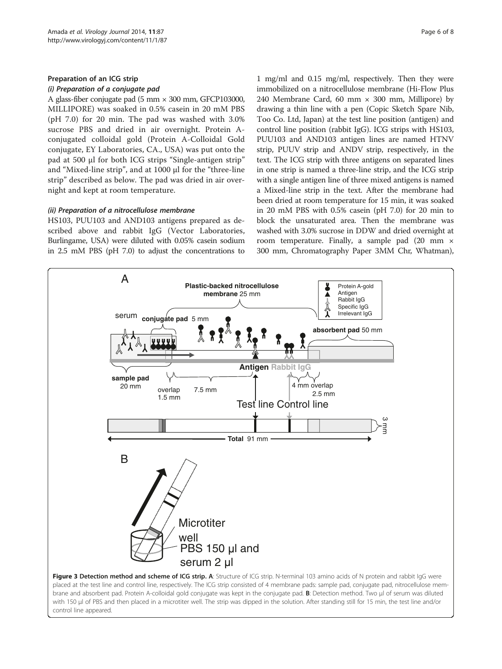#### <span id="page-5-0"></span>Preparation of an ICG strip (i) Preparation of a conjugate pad

A glass-fiber conjugate pad (5 mm × 300 mm, GFCP103000, MILLIPORE) was soaked in 0.5% casein in 20 mM PBS (pH 7.0) for 20 min. The pad was washed with 3.0% sucrose PBS and dried in air overnight. Protein Aconjugated colloidal gold (Protein A-Colloidal Gold conjugate, EY Laboratories, CA., USA) was put onto the pad at 500 μl for both ICG strips "Single-antigen strip" and "Mixed-line strip", and at 1000 μl for the "three-line strip" described as below. The pad was dried in air overnight and kept at room temperature.

# (ii) Preparation of a nitrocellulose membrane

HS103, PUU103 and AND103 antigens prepared as described above and rabbit IgG (Vector Laboratories, Burlingame, USA) were diluted with 0.05% casein sodium in 2.5 mM PBS (pH 7.0) to adjust the concentrations to

1 mg/ml and 0.15 mg/ml, respectively. Then they were immobilized on a nitrocellulose membrane (Hi-Flow Plus 240 Membrane Card, 60 mm  $\times$  300 mm, Millipore) by drawing a thin line with a pen (Copic Sketch Spare Nib, Too Co. Ltd, Japan) at the test line position (antigen) and control line position (rabbit IgG). ICG strips with HS103, PUU103 and AND103 antigen lines are named HTNV strip, PUUV strip and ANDV strip, respectively, in the text. The ICG strip with three antigens on separated lines in one strip is named a three-line strip, and the ICG strip with a single antigen line of three mixed antigens is named a Mixed-line strip in the text. After the membrane had been dried at room temperature for 15 min, it was soaked in 20 mM PBS with 0.5% casein (pH 7.0) for 20 min to block the unsaturated area. Then the membrane was washed with 3.0% sucrose in DDW and dried overnight at room temperature. Finally, a sample pad (20 mm × 300 mm, Chromatography Paper 3MM Chr, Whatman),

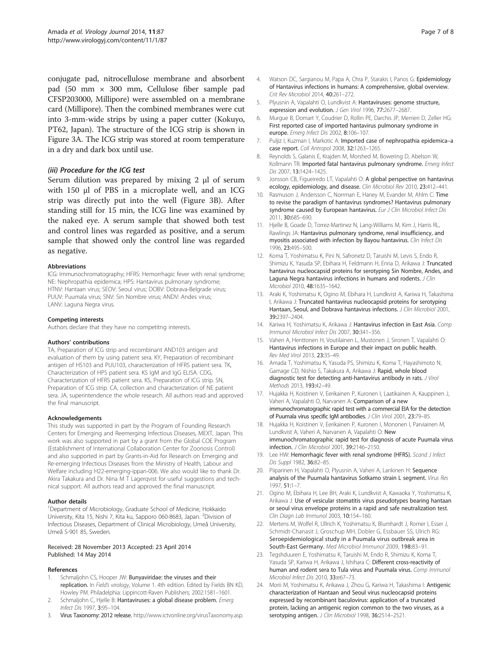<span id="page-6-0"></span>conjugate pad, nitrocellulose membrane and absorbent pad (50 mm × 300 mm, Cellulose fiber sample pad CFSP203000, Millipore) were assembled on a membrane card (Millipore). Then the combined membranes were cut into 3-mm-wide strips by using a paper cutter (Kokuyo, PT62, Japan). The structure of the ICG strip is shown in Figure [3A](#page-5-0). The ICG strip was stored at room temperature in a dry and dark box until use.

#### (iii) Procedure for the ICG test

Serum dilution was prepared by mixing 2 μl of serum with 150 μl of PBS in a microplate well, and an ICG strip was directly put into the well (Figure [3](#page-5-0)B). After standing still for 15 min, the ICG line was examined by the naked eye. A serum sample that showed both test and control lines was regarded as positive, and a serum sample that showed only the control line was regarded as negative.

#### Abbreviations

ICG: Immunochromatography; HFRS: Hemorrhagic fever with renal syndrome; NE: Nephropathia epidemica; HPS: Hantavirus pulmonary syndrome; HTNV: Hantaan virus; SEOV: Seoul virus; DOBV: Dobrava-Belgrade virus; PUUV: Puumala virus; SNV: Sin Nombre virus; ANDV: Andes virus; LANV: Laguna Negra virus.

#### Competing interests

Authors declare that they have no competitng interests.

#### Authors' contributions

TA, Preparation of ICG strip and recombinant AND103 antigen and evaluation of them by using patient sera. KY, Preparation of recombinant antigen of HS103 and PUU103, characterization of HFRS patient sera. TK, Characterization of HPS patient sera. KS IgM and IgG ELISA. CDG, Characterization of HFRS patient sera. KS, Preparation of ICG strip. SN, Preparation of ICG strip. CA, collection and characterization of NE patient sera. JA, superintendence the whole research. All authors read and approved the final manuscript.

#### Acknowledgements

This study was supported in part by the Program of Founding Research Centers for Emerging and Reemerging Infectious Diseases, MEXT, Japan. This work was also supported in part by a grant from the Global COE Program (Establishment of International Collaboration Center for Zoonosis Control) and also supported in part by Grants-in-Aid for Research on Emerging and Re-emerging Infectious Diseases from the Ministry of Health, Labour and Welfare including H22-emerging-ippan-006. We also would like to thank Dr. Akira Takakura and Dr. Nina M T Lagerqvist for useful suggestions and technical support. All authors read and approved the final manuscript.

#### Author details

<sup>1</sup>Department of Microbiology, Graduate School of Medicine, Hokkaido University, Kita 15, Nishi 7, Kita ku, Sapporo 060-8683, Japan. <sup>2</sup>Division of Infectious Diseases, Department of Clinical Microbiology, Umeå University, Umeå S-901 85, Sweden.

#### Received: 28 November 2013 Accepted: 23 April 2014 Published: 14 May 2014

#### References

- Schmaljohn CS, Hooper JW: Bunyaviridae: the viruses and their replication. In Field's virology, Volume 1. 4th edition. Edited by Fields BN KD, Howley PM. Philadelphia: Lippincott-Raven Publishers; 2002:1581–1601.
- 2. Schmaljohn C, Hjelle B: Hantaviruses: a global disease problem. Emerg Infect Dis 1997, 3:95–104.
- 3. Virus Taxonomy: 2012 release. [http://www.ictvonline.org/virusTaxonomy.asp.](http://www.ictvonline.org/virusTaxonomy.asp)
- 4. Watson DC, Sargianou M, Papa A, Chra P, Starakis I, Panos G: Epidemiology of Hantavirus infections in humans: A comprehensive, global overview. Crit Rev Microbiol 2014, 40:261–272.
- Plyusnin A, Vapalahti O, Lundkvist A: Hantaviruses: genome structure, expression and evolution. J Gen Virol 1996, 77:2677-2687.
- 6. Murgue B, Domart Y, Coudrier D, Rollin PE, Darchis JP, Merrien D, Zeller HG: First reported case of imported hantavirus pulmonary syndrome in europe. Emerg Infect Dis 2002, 8:106–107.
- 7. Puljiz I, Kuzman I, Markotic A: Imported case of nephropathia epidemica–a case report. Coll Antropol 2008, 32:1263–1265.
- 8. Reynolds S, Galanis E, Krajden M, Morshed M, Bowering D, Abelson W, Kollmann TR: Imported fatal hantavirus pulmonary syndrome. Emerg Infect Dis 2007, 13:1424–1425.
- 9. Jonsson CB, Figueiredo LT, Vapalahti O: A global perspective on hantavirus ecology, epidemiology, and disease. Clin Microbiol Rev 2010, 23:412-441.
- 10. Rasmuson J, Andersson C, Norrman E, Haney M, Evander M, Ahlm C: Time to revise the paradigm of hantavirus syndromes? Hantavirus pulmonary syndrome caused by European hantavirus. Eur J Clin Microbiol Infect Dis 2011, 30:685–690.
- 11. Hjelle B, Goade D, Torrez-Martinez N, Lang-Williams M, Kim J, Harris RL, Rawlings JA: Hantavirus pulmonary syndrome, renal insufficiency, and myositis associated with infection by Bayou hantavirus. Clin Infect Dis 1996, 23:495–500.
- 12. Koma T, Yoshimatsu K, Pini N, Safronetz D, Taruishi M, Levis S, Endo R, Shimizu K, Yasuda SP, Ebihara H, Feldmann H, Enria D, Arikawa J: Truncated hantavirus nucleocapsid proteins for serotyping Sin Nombre, Andes, and Laguna Negra hantavirus infections in humans and rodents. J Clin Microbiol 2010, 48:1635–1642.
- 13. Araki K, Yoshimatsu K, Ogino M, Ebihara H, Lundkvist A, Kariwa H, Takashima I, Arikawa J: Truncated hantavirus nucleocapsid proteins for serotyping Hantaan, Seoul, and Dobrava hantavirus infections. J Clin Microbiol 2001, 39:2397–2404.
- 14. Kariwa H, Yoshimatsu K, Arikawa J: Hantavirus infection in East Asia. Comp Immunol Microbiol Infect Dis 2007, 30:341–356.
- 15. Vaheri A, Henttonen H, Voutilainen L, Mustonen J, Sironen T, Vapalahti O: Hantavirus infections in Europe and their impact on public health. Rev Med Virol 2013, 23:35–49.
- 16. Amada T, Yoshimatsu K, Yasuda PS, Shimizu K, Koma T, Hayashimoto N, Gamage CD, Nishio S, Takakura A, Arikawa J: Rapid, whole blood diagnostic test for detecting anti-hantavirus antibody in rats. J Virol Methods 2013, 193:42–49.
- 17. Hujakka H, Koistinen V, Eerikainen P, Kuronen I, Laatikainen A, Kauppinen J, Vaheri A, Vapalahti O, Narvanen A: Comparison of a new immunochromatographic rapid test with a commercial EIA for the detection of Puumala virus specific IgM antibodies. J Clin Virol 2001, 23:79–85.
- 18. Hujakka H, Koistinen V, Eerikainen P, Kuronen I, Mononen I, Parviainen M, Lundkvist A, Vaheri A, Narvanen A, Vapalahti O: New immunochromatographic rapid test for diagnosis of acute Puumala virus infection. J Clin Microbiol 2001, 39:2146–2150.
- 19. Lee HW: Hemorrhagic fever with renal syndrome (HFRS). Scand J Infect Dis Suppl 1982, 36:82–85.
- 20. Piiparinen H, Vapalahti O, Plyusnin A, Vaheri A, Lankinen H: Sequence analysis of the Puumala hantavirus Sotkamo strain L segment. Virus Res 1997, 51:1–7.
- 21. Ogino M, Ebihara H, Lee BH, Araki K, Lundkvist A, Kawaoka Y, Yoshimatsu K, Arikawa J: Use of vesicular stomatitis virus pseudotypes bearing hantaan or seoul virus envelope proteins in a rapid and safe neutralization test. Clin Diagn Lab Immunol 2003, 10:154–160.
- 22. Mertens M, Wolfel R, Ullrich K, Yoshimatsu K, Blumhardt J, Romer I, Esser J, Schmidt-Chanasit J, Groschup MH, Dobler G, Essbauer SS, Ulrich RG: Seroepidemiological study in a Puumala virus outbreak area in South-East Germany. Med Microbiol Immunol 2009, 198:83–91.
- 23. Tegshduuren E, Yoshimatsu K, Taruishi M, Endo R, Shimizu K, Koma T, Yasuda SP, Kariwa H, Arikawa J, Ishihara C: Different cross-reactivity of human and rodent sera to Tula virus and Puumala virus. Comp Immunol Microbiol Infect Dis 2010, 33:e67–73.
- 24. Morii M, Yoshimatsu K, Arikawa J, Zhou G, Kariwa H, Takashima I: Antigenic characterization of Hantaan and Seoul virus nucleocapsid proteins expressed by recombinant baculovirus: application of a truncated protein, lacking an antigenic region common to the two viruses, as a serotyping antigen. J Clin Microbiol 1998, 36:2514-2521.